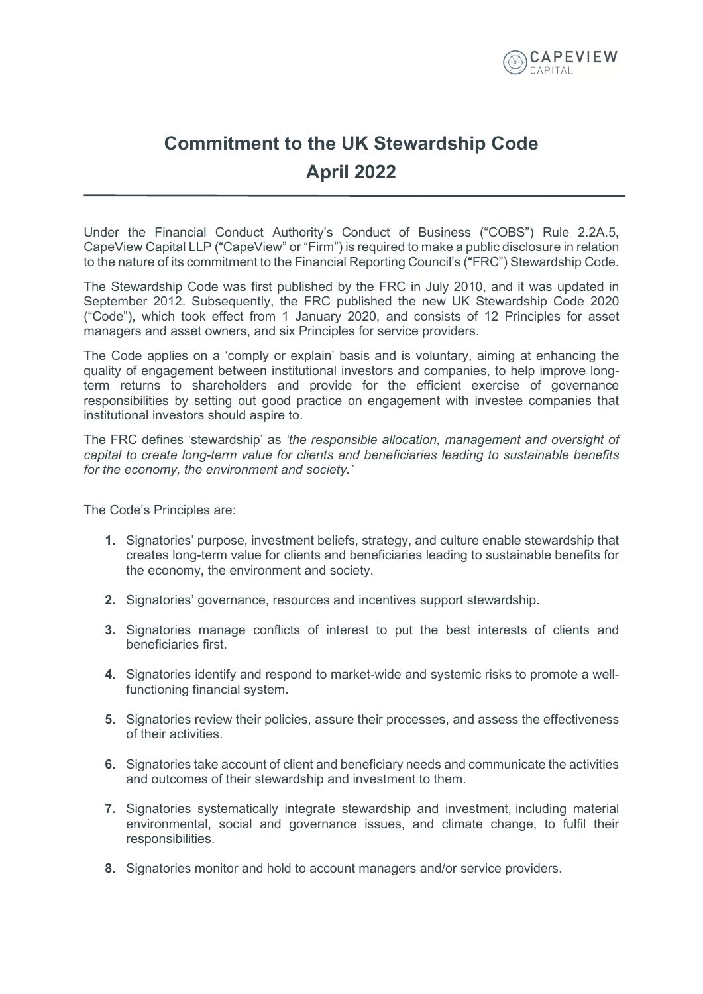

## **Commitment to the UK Stewardship Code April 2022**

Under the Financial Conduct Authority's Conduct of Business ("COBS") Rule 2.2A.5, CapeView Capital LLP ("CapeView" or "Firm") is required to make a public disclosure in relation to the nature of its commitment to the Financial Reporting Council's ("FRC") Stewardship Code.

The Stewardship Code was first published by the FRC in July 2010, and it was updated in September 2012. Subsequently, the FRC published the new UK Stewardship Code 2020 ("Code"), which took effect from 1 January 2020, and consists of 12 Principles for asset managers and asset owners, and six Principles for service providers.

The Code applies on a 'comply or explain' basis and is voluntary, aiming at enhancing the quality of engagement between institutional investors and companies, to help improve longterm returns to shareholders and provide for the efficient exercise of governance responsibilities by setting out good practice on engagement with investee companies that institutional investors should aspire to.

The FRC defines 'stewardship' as *'the responsible allocation, management and oversight of capital to create long-term value for clients and beneficiaries leading to sustainable benefits for the economy, the environment and society.'*

The Code's Principles are:

- **1.** Signatories' purpose, investment beliefs, strategy, and culture enable stewardship that creates long-term value for clients and beneficiaries leading to sustainable benefits for the economy, the environment and society.
- **2.** Signatories' governance, resources and incentives support stewardship.
- **3.** Signatories manage conflicts of interest to put the best interests of clients and beneficiaries first.
- **4.** Signatories identify and respond to market-wide and systemic risks to promote a wellfunctioning financial system.
- **5.** Signatories review their policies, assure their processes, and assess the effectiveness of their activities.
- **6.** Signatories take account of client and beneficiary needs and communicate the activities and outcomes of their stewardship and investment to them.
- **7.** Signatories systematically integrate stewardship and investment, including material environmental, social and governance issues, and climate change, to fulfil their responsibilities.
- **8.** Signatories monitor and hold to account managers and/or service providers.